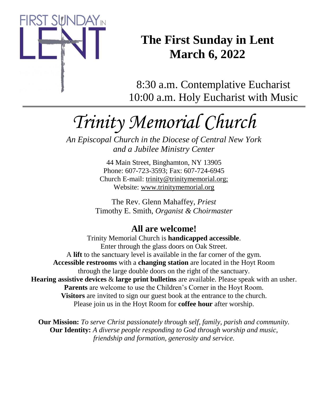

# **The First Sunday in Lent March 6, 2022**

8:30 a.m. Contemplative Eucharist 10:00 a.m. Holy Eucharist with Music

# *Trinity Memorial Church*

*An Episcopal Church in the Diocese of Central New York and a Jubilee Ministry Center*

> 44 Main Street, Binghamton, NY 13905 Phone: 607-723-3593; Fax: 607-724-6945 Church E-mail: trinity@trinitymemorial.org; Website: www.trinitymemorial.org

The Rev. Glenn Mahaffey, *Priest* Timothy E. Smith, *Organist & Choirmaster* 

# **All are welcome!**

Trinity Memorial Church is **handicapped accessible**. Enter through the glass doors on Oak Street. A **lift** to the sanctuary level is available in the far corner of the gym. **Accessible restrooms** with a **changing station** are located in the Hoyt Room through the large double doors on the right of the sanctuary. **Hearing assistive devices** & **large print bulletins** are available. Please speak with an usher. **Parents** are welcome to use the Children's Corner in the Hoyt Room. **Visitors** are invited to sign our guest book at the entrance to the church. Please join us in the Hoyt Room for **coffee hour** after worship.

**Our Mission:** *To serve Christ passionately through self, family, parish and community.* **Our Identity:** *A diverse people responding to God through worship and music, friendship and formation, generosity and service.*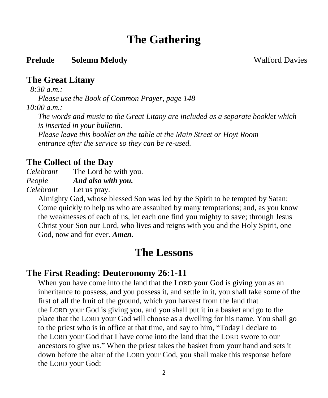# **The Gathering**

#### **Prelude Solemn Melody Walford Davies**

### **The Great Litany**

 *8:30 a.m.:* 

*Please use the Book of Common Prayer, page 148*

*10:00 a.m.:*

*The words and music to the Great Litany are included as a separate booklet which is inserted in your bulletin.* 

*Please leave this booklet on the table at the Main Street or Hoyt Room entrance after the service so they can be re-used.*

### **The Collect of the Day**

*Celebrant* The Lord be with you.

*People And also with you.*

*Celebrant* Let us pray.

Almighty God, whose blessed Son was led by the Spirit to be tempted by Satan: Come quickly to help us who are assaulted by many temptations; and, as you know the weaknesses of each of us, let each one find you mighty to save; through Jesus Christ your Son our Lord, who lives and reigns with you and the Holy Spirit, one God, now and for ever. *Amen.*

# **The Lessons**

### **The First Reading: Deuteronomy 26:1-11**

When you have come into the land that the LORD your God is giving you as an inheritance to possess, and you possess it, and settle in it, you shall take some of the first of all the fruit of the ground, which you harvest from the land that the LORD your God is giving you, and you shall put it in a basket and go to the place that the LORD your God will choose as a dwelling for his name. You shall go to the priest who is in office at that time, and say to him, "Today I declare to the LORD your God that I have come into the land that the LORD swore to our ancestors to give us." When the priest takes the basket from your hand and sets it down before the altar of the LORD your God, you shall make this response before the LORD your God: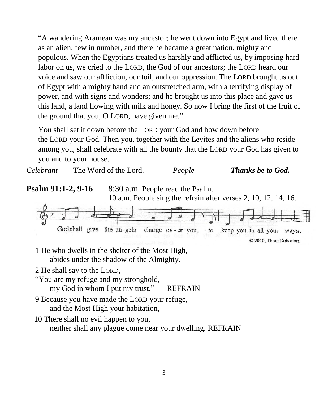"A wandering Aramean was my ancestor; he went down into Egypt and lived there as an alien, few in number, and there he became a great nation, mighty and populous. When the Egyptians treated us harshly and afflicted us, by imposing hard labor on us, we cried to the LORD, the God of our ancestors; the LORD heard our voice and saw our affliction, our toil, and our oppression. The LORD brought us out of Egypt with a mighty hand and an outstretched arm, with a terrifying display of power, and with signs and wonders; and he brought us into this place and gave us this land, a land flowing with milk and honey. So now I bring the first of the fruit of the ground that you, O LORD, have given me."

You shall set it down before the LORD your God and bow down before the LORD your God. Then you, together with the Levites and the aliens who reside among you, shall celebrate with all the bounty that the LORD your God has given to you and to your house.

*Celebrant* The Word of the Lord. *People Thanks be to God.* **Psalm 91:1-2, 9-16** 8:30 a.m. People read the Psalm. 10 a.m. People sing the refrain after verses 2, 10, 12, 14, 16. God shall give the an-gels charge ov-er you, keep you in all your ways.  $\cdot$  to C 2010, Thom Roberton

1 He who dwells in the shelter of the Most High, abides under the shadow of the Almighty.

2 He shall say to the LORD,

"You are my refuge and my stronghold,

my God in whom I put my trust." REFRAIN

- 9 Because you have made the LORD your refuge, and the Most High your habitation,
- 10 There shall no evil happen to you, neither shall any plague come near your dwelling. REFRAIN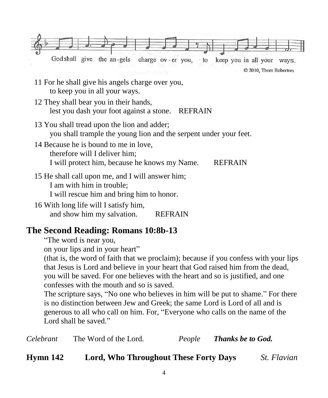

- 15 He shall call upon me, and I will answer him; I am with him in trouble; I will rescue him and bring him to honor.
- 16 With long life will I satisfy him, and show him my salvation. REFRAIN

### **The Second Reading: Romans 10:8b-13**

"The word is near you,

on your lips and in your heart"

(that is, the word of faith that we proclaim); because if you confess with your lips that Jesus is Lord and believe in your heart that God raised him from the dead, you will be saved. For one believes with the heart and so is justified, and one confesses with the mouth and so is saved.

The scripture says, "No one who believes in him will be put to shame." For there is no distinction between Jew and Greek; the same Lord is Lord of all and is generous to all who call on him. For, "Everyone who calls on the name of the Lord shall be saved."

| The Word of the Lord.<br>Celebrant | People | <b>Thanks be to God.</b> |
|------------------------------------|--------|--------------------------|
|------------------------------------|--------|--------------------------|

**Hymn 142 Lord, Who Throughout These Forty Days** *St. Flavian*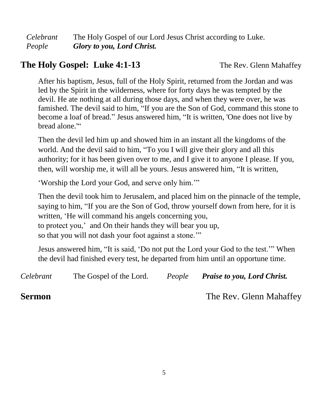*Celebrant* The Holy Gospel of our Lord Jesus Christ according to Luke. *People Glory to you, Lord Christ.*

## **The Holy Gospel: Luke 4:1-13** The Rev. Glenn Mahaffey

After his baptism, Jesus, full of the Holy Spirit, returned from the Jordan and was led by the Spirit in the wilderness, where for forty days he was tempted by the devil. He ate nothing at all during those days, and when they were over, he was famished. The devil said to him, "If you are the Son of God, command this stone to become a loaf of bread." Jesus answered him, "It is written, 'One does not live by bread alone.""

Then the devil led him up and showed him in an instant all the kingdoms of the world. And the devil said to him, "To you I will give their glory and all this authority; for it has been given over to me, and I give it to anyone I please. If you, then, will worship me, it will all be yours. Jesus answered him, "It is written,

'Worship the Lord your God, and serve only him.'"

Then the devil took him to Jerusalem, and placed him on the pinnacle of the temple, saying to him, "If you are the Son of God, throw yourself down from here, for it is written, 'He will command his angels concerning you, to protect you,' and On their hands they will bear you up, so that you will not dash your foot against a stone.'"

Jesus answered him, "It is said, 'Do not put the Lord your God to the test.'" When the devil had finished every test, he departed from him until an opportune time.

| Celebrant     | The Gospel of the Lord. | People | <b>Praise to you, Lord Christ.</b> |
|---------------|-------------------------|--------|------------------------------------|
| <b>Sermon</b> |                         |        | The Rev. Glenn Mahaffey            |

5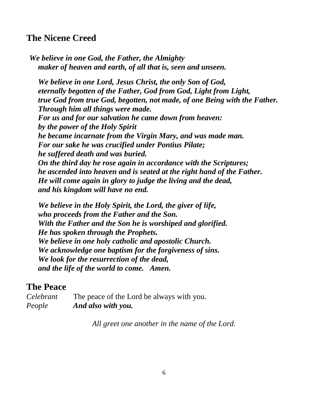### **The Nicene Creed**

*We believe in one God, the Father, the Almighty maker of heaven and earth, of all that is, seen and unseen.*

*We believe in one Lord, Jesus Christ, the only Son of God, eternally begotten of the Father, God from God, Light from Light, true God from true God, begotten, not made, of one Being with the Father. Through him all things were made. For us and for our salvation he came down from heaven: by the power of the Holy Spirit he became incarnate from the Virgin Mary, and was made man. For our sake he was crucified under Pontius Pilate; he suffered death and was buried. On the third day he rose again in accordance with the Scriptures; he ascended into heaven and is seated at the right hand of the Father. He will come again in glory to judge the living and the dead, and his kingdom will have no end.*

*We believe in the Holy Spirit, the Lord, the giver of life, who proceeds from the Father and the Son. With the Father and the Son he is worshiped and glorified. He has spoken through the Prophets. We believe in one holy catholic and apostolic Church. We acknowledge one baptism for the forgiveness of sins. We look for the resurrection of the dead, and the life of the world to come. Amen.*

### **The Peace**

*Celebrant* The peace of the Lord be always with you. *People And also with you.*

*All greet one another in the name of the Lord.*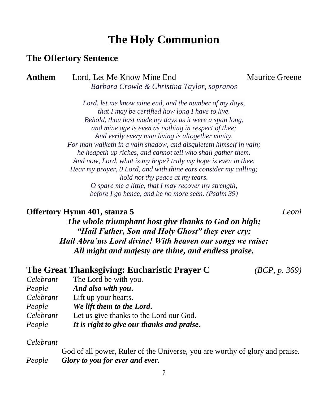# **The Holy Communion**

#### **The Offertory Sentence**

**Anthem** Lord, Let Me Know Mine End Maurice Greene *Barbara Crowle & Christina Taylor, sopranos*

*Lord, let me know mine end, and the number of my days, that I may be certified how long I have to live. Behold, thou hast made my days as it were a span long, and mine age is even as nothing in respect of thee; And verily every man living is altogether vanity. For man walketh in a vain shadow, and disquieteth himself in vain; he heapeth up riches, and cannot tell who shall gather them. And now, Lord, what is my hope? truly my hope is even in thee. Hear my prayer, 0 Lord, and with thine ears consider my calling; hold not thy peace at my tears. O spare me a little, that I may recover my strength, before I go hence, and be no more seen. (Psalm 39)*

#### **Offertory Hymn 401, stanza 5** *Leoni*

*The whole triumphant host give thanks to God on high; "Hail Father, Son and Holy Ghost" they ever cry; Hail Abra'ms Lord divine! With heaven our songs we raise; All might and majesty are thine, and endless praise.*

|       |  |  | The Great Thanksgiving: Eucharistic Prayer C | (BCP, p. 369) |
|-------|--|--|----------------------------------------------|---------------|
| - - - |  |  |                                              |               |

| (BCP, p. 369) |  |  |
|---------------|--|--|
|               |  |  |

| Celebrant | The Lord be with you.                      |
|-----------|--------------------------------------------|
| People    | And also with you.                         |
| Celebrant | Lift up your hearts.                       |
| People    | We lift them to the Lord.                  |
| Celebrant | Let us give thanks to the Lord our God.    |
| People    | It is right to give our thanks and praise. |

#### *Celebrant*

God of all power, Ruler of the Universe, you are worthy of glory and praise. *People Glory to you for ever and ever.*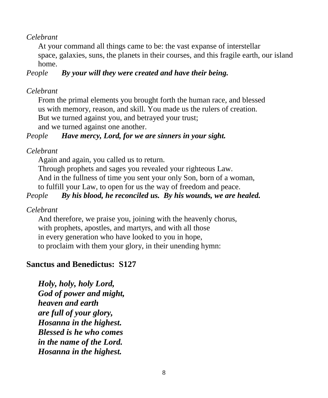*Celebrant*

At your command all things came to be: the vast expanse of interstellar space, galaxies, suns, the planets in their courses, and this fragile earth, our island home.

#### *People By your will they were created and have their being.*

#### *Celebrant*

From the primal elements you brought forth the human race, and blessed us with memory, reason, and skill. You made us the rulers of creation. But we turned against you, and betrayed your trust; and we turned against one another.

#### *People Have mercy, Lord, for we are sinners in your sight.*

#### *Celebrant*

Again and again, you called us to return.

Through prophets and sages you revealed your righteous Law. And in the fullness of time you sent your only Son, born of a woman, to fulfill your Law, to open for us the way of freedom and peace.

#### *People By his blood, he reconciled us. By his wounds, we are healed.*

#### *Celebrant*

And therefore, we praise you, joining with the heavenly chorus, with prophets, apostles, and martyrs, and with all those in every generation who have looked to you in hope, to proclaim with them your glory, in their unending hymn:

### **Sanctus and Benedictus: S127**

*Holy, holy, holy Lord, God of power and might, heaven and earth are full of your glory, Hosanna in the highest. Blessed is he who comes in the name of the Lord. Hosanna in the highest.*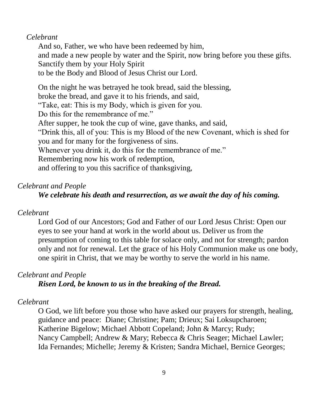#### *Celebrant*

And so, Father, we who have been redeemed by him, and made a new people by water and the Spirit, now bring before you these gifts. Sanctify them by your Holy Spirit to be the Body and Blood of Jesus Christ our Lord.

On the night he was betrayed he took bread, said the blessing, broke the bread, and gave it to his friends, and said, "Take, eat: This is my Body, which is given for you. Do this for the remembrance of me." After supper, he took the cup of wine, gave thanks, and said, "Drink this, all of you: This is my Blood of the new Covenant, which is shed for you and for many for the forgiveness of sins. Whenever you drink it, do this for the remembrance of me." Remembering now his work of redemption, and offering to you this sacrifice of thanksgiving,

#### *Celebrant and People*

#### *We celebrate his death and resurrection, as we await the day of his coming.*

#### *Celebrant*

Lord God of our Ancestors; God and Father of our Lord Jesus Christ: Open our eyes to see your hand at work in the world about us. Deliver us from the presumption of coming to this table for solace only, and not for strength; pardon only and not for renewal. Let the grace of his Holy Communion make us one body, one spirit in Christ, that we may be worthy to serve the world in his name.

#### *Celebrant and People*

#### *Risen Lord, be known to us in the breaking of the Bread.*

#### *Celebrant*

O God, we lift before you those who have asked our prayers for strength, healing, guidance and peace: Diane; Christine; Pam; Drieux; Sai Loksupcharoen; Katherine Bigelow; Michael Abbott Copeland; John & Marcy; Rudy; Nancy Campbell; Andrew & Mary; Rebecca & Chris Seager; Michael Lawler; Ida Fernandes; Michelle; Jeremy & Kristen; Sandra Michael, Bernice Georges;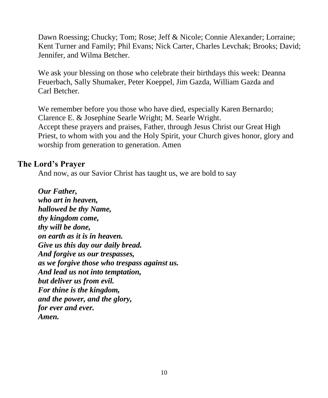Dawn Roessing; Chucky; Tom; Rose; Jeff & Nicole; Connie Alexander; Lorraine; Kent Turner and Family; Phil Evans; Nick Carter, Charles Levchak; Brooks; David; Jennifer, and Wilma Betcher.

We ask your blessing on those who celebrate their birthdays this week: Deanna Feuerbach, Sally Shumaker, Peter Koeppel, Jim Gazda, William Gazda and Carl Betcher.

We remember before you those who have died, especially Karen Bernardo; Clarence E. & Josephine Searle Wright; M. Searle Wright. Accept these prayers and praises, Father, through Jesus Christ our Great High Priest, to whom with you and the Holy Spirit, your Church gives honor, glory and worship from generation to generation. Amen

#### **The Lord's Prayer**

And now, as our Savior Christ has taught us, we are bold to say

*Our Father, who art in heaven, hallowed be thy Name, thy kingdom come, thy will be done, on earth as it is in heaven. Give us this day our daily bread. And forgive us our trespasses, as we forgive those who trespass against us. And lead us not into temptation, but deliver us from evil. For thine is the kingdom, and the power, and the glory, for ever and ever. Amen.*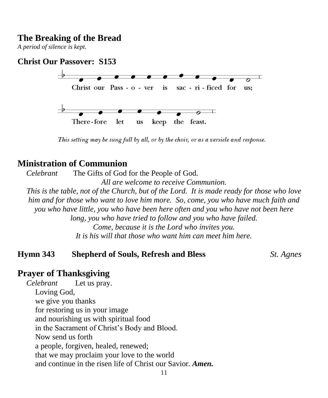#### **The Breaking of the Bread**

*A period of silence is kept.*

#### **Christ Our Passover: S153**



This setting may be sung full by all, or by the choir, or as a versicle and response.

#### **Ministration of Communion**

*Celebrant* The Gifts of God for the People of God.

*All are welcome to receive Communion.*

*This is the table, not of the Church, but of the Lord. It is made ready for those who love him and for those who want to love him more. So, come, you who have much faith and you who have little, you who have been here often and you who have not been here long, you who have tried to follow and you who have failed. Come, because it is the Lord who invites you. It is his will that those who want him can meet him here.*

#### **Hymn 343 Shepherd of Souls, Refresh and Bless** *St. Agnes*

#### **Prayer of Thanksgiving**

*Celebrant* Let us pray. Loving God, we give you thanks for restoring us in your image and nourishing us with spiritual food in the Sacrament of Christ's Body and Blood. Now send us forth a people, forgiven, healed, renewed; that we may proclaim your love to the world and continue in the risen life of Christ our Savior. *Amen.*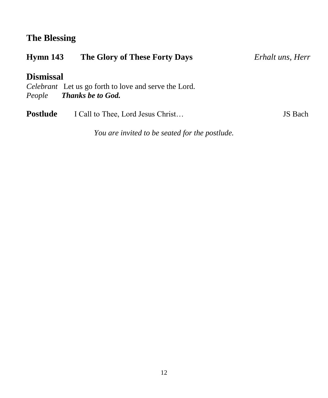# **The Blessing**

| Hymn 143         | The Glory of These Forty Days                                | Erhalt uns, Herr |
|------------------|--------------------------------------------------------------|------------------|
| <b>Dismissal</b> |                                                              |                  |
|                  | <i>Celebrant</i> Let us go forth to love and serve the Lord. |                  |
|                  | People <b>Thanks be to God.</b>                              |                  |
| Postlude         | I Call to Thee, Lord Jesus Christ                            | <b>JS</b> Bach   |

*You are invited to be seated for the postlude.*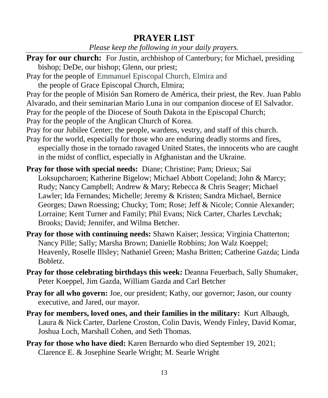## **PRAYER LIST**

*Please keep the following in your daily prayers.*

- **Pray for our church:** For Justin, archbishop of Canterbury; for Michael, presiding bishop; DeDe, our bishop; Glenn, our priest;
- Pray for the people of Emmanuel Episcopal Church, Elmira and
	- the people of Grace Episcopal Church, Elmira;
- Pray for the people of Misión San Romero de América, their priest, the Rev. Juan Pablo Alvarado, and their seminarian Mario Luna in our companion diocese of El Salvador. Pray for the people of the Diocese of South Dakota in the Episcopal Church; Pray for the people of the Anglican Church of Korea.
- Pray for our Jubilee Center; the people, wardens, vestry, and staff of this church.
- Pray for the world, especially for those who are enduring deadly storms and fires, especially those in the tornado ravaged United States, the innocents who are caught in the midst of conflict, especially in Afghanistan and the Ukraine.
- **Pray for those with special needs:** Diane; Christine; Pam; Drieux; Sai Loksupcharoen; Katherine Bigelow; Michael Abbott Copeland; John & Marcy; Rudy; Nancy Campbell; Andrew & Mary; Rebecca & Chris Seager; Michael Lawler; Ida Fernandes; Michelle; Jeremy & Kristen; Sandra Michael, Bernice Georges; Dawn Roessing; Chucky; Tom; Rose; Jeff & Nicole; Connie Alexander; Lorraine; Kent Turner and Family; Phil Evans; Nick Carter, Charles Levchak; Brooks; David; Jennifer, and Wilma Betcher.
- **Pray for those with continuing needs:** Shawn Kaiser; Jessica; Virginia Chatterton; Nancy Pille; Sally; Marsha Brown; Danielle Robbins; Jon Walz Koeppel; Heavenly, Roselle Illsley; Nathaniel Green; Masha Britten; Catherine Gazda; Linda Bobletz.
- **Pray for those celebrating birthdays this week:** Deanna Feuerbach, Sally Shumaker, Peter Koeppel, Jim Gazda, William Gazda and Carl Betcher
- **Pray for all who govern:** Joe, our president; Kathy, our governor; Jason, our county executive, and Jared, our mayor.
- **Pray for members, loved ones, and their families in the military:** Kurt Albaugh, Laura & Nick Carter, Darlene Croston, Colin Davis, Wendy Finley, David Komar, Joshua Loch, Marshall Cohen, and Seth Thomas.
- **Pray for those who have died:** Karen Bernardo who died September 19, 2021; Clarence E. & Josephine Searle Wright; M. Searle Wright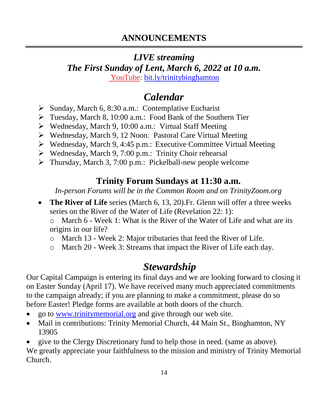## *LIVE streaming*

*The First Sunday of Lent***,** *March 6, 2022 at 10 a.m.*

[YouTube:](https://bit.ly/trinitybinghamton) [bit.ly/trinitybinghamton](https://bit.ly/trinitybinghamton)

# *Calendar*

- ➢ Sunday, March 6, 8:30 a.m.: Contemplative Eucharist
- ➢ Tuesday, March 8, 10:00 a.m.: Food Bank of the Southern Tier
- ➢ Wednesday, March 9, 10:00 a.m.: Virtual Staff Meeting
- ➢ Wednesday, March 9, 12 Noon: Pastoral Care Virtual Meeting
- ➢ Wednesday, March 9, 4:45 p.m.: Executive Committee Virtual Meeting
- ➢ Wednesday, March 9, 7:00 p.m.: Trinity Choir rehearsal
- ➢ Thursday, March 3, 7:00 p.m.: Pickelball-new people welcome

# **Trinity Forum Sundays at 11:30 a.m.**

*In-person Forums will be in the Common Room and on TrinityZoom.org*

• **The River of Life** series (March 6, 13, 20). Fr. Glenn will offer a three weeks series on the River of the Water of Life (Revelation 22: 1):

o March 6 - Week 1: What is the River of the Water of Life and what are its origins in our life?

- o March 13 Week 2: Major tributaries that feed the River of Life.
- o March 20 Week 3: Streams that impact the River of Life each day.

# *Stewardship*

Our Capital Campaign is entering its final days and we are looking forward to closing it on Easter Sunday (April 17). We have received many much appreciated commitments to the campaign already; if you are planning to make a commitment, please do so before Easter! Pledge forms are available at both doors of the church.

- go to [www.trinitymemorial.org](http://www.trinitymemorial.org/) and give through our web site.
- Mail in contributions: Trinity Memorial Church, 44 Main St., Binghamton, NY 13905

• give to the Clergy Discretionary fund to help those in need. (same as above). We greatly appreciate your faithfulness to the mission and ministry of Trinity Memorial Church.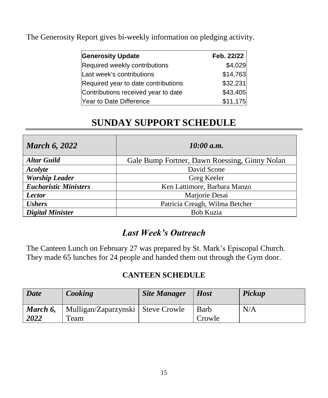The Generosity Report gives bi-weekly information on pledging activity.

| <b>Generosity Update</b>            | Feb. 22/22 |
|-------------------------------------|------------|
| Required weekly contributions       | \$4,029    |
| Last week's contributions           | \$14,763   |
| Required year to date contributions | \$32,231   |
| Contributions received year to date | \$43,405   |
| Year to Date Difference             | \$11,175   |

# **SUNDAY SUPPORT SCHEDULE**

| <b>March 6, 2022</b>         | 10:00 a.m.                                    |  |  |
|------------------------------|-----------------------------------------------|--|--|
| <b>Altar Guild</b>           | Gale Bump Fortner, Dawn Roessing, Ginny Nolan |  |  |
| Acolyte                      | David Scone                                   |  |  |
| <b>Worship Leader</b>        | Greg Keeler                                   |  |  |
| <b>Eucharistic Ministers</b> | Ken Lattimore, Barbara Manzo                  |  |  |
| <b>Lector</b>                | Marjorie Desai                                |  |  |
| <b>Ushers</b>                | Patricia Creagh, Wilma Betcher                |  |  |
| <b>Digital Minister</b>      | <b>Bob Kuzia</b>                              |  |  |

# *Last Week's Outreach*

The Canteen Lunch on February 27 was prepared by St. Mark's Episcopal Church. They made 65 lunches for 24 people and handed them out through the Gym door.

### **CANTEEN SCHEDULE**

| <b>Date</b>      | Cooking                                     | <b>Site Manager</b> | <b>Host</b>           | Pickup |
|------------------|---------------------------------------------|---------------------|-----------------------|--------|
| March 6,<br>2022 | Mulligan/Zaparzynski   Steve Crowle<br>Team |                     | <b>Barb</b><br>Crowle | N/A    |